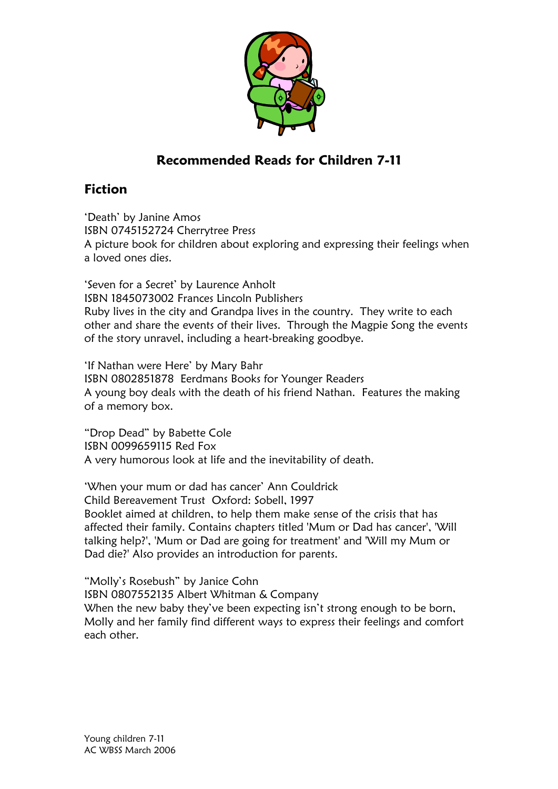

## Recommended Reads for Children 7-11

## Fiction

'Death' by Janine Amos ISBN 0745152724 Cherrytree Press A picture book for children about exploring and expressing their feelings when a loved ones dies.

'Seven for a Secret' by Laurence Anholt ISBN 1845073002 Frances Lincoln Publishers Ruby lives in the city and Grandpa lives in the country. They write to each other and share the events of their lives. Through the Magpie Song the events of the story unravel, including a heart-breaking goodbye.

'If Nathan were Here' by Mary Bahr ISBN 0802851878 Eerdmans Books for Younger Readers A young boy deals with the death of his friend Nathan. Features the making of a memory box.

"Drop Dead" by Babette Cole ISBN 0099659115 Red Fox A very humorous look at life and the inevitability of death.

'When your mum or dad has cancer' Ann Couldrick Child Bereavement Trust Oxford: Sobell, 1997 Booklet aimed at children, to help them make sense of the crisis that has affected their family. Contains chapters titled 'Mum or Dad has cancer', 'Will talking help?', 'Mum or Dad are going for treatment' and 'Will my Mum or Dad die?' Also provides an introduction for parents.

"Molly's Rosebush" by Janice Cohn ISBN 0807552135 Albert Whitman & Company When the new baby they've been expecting isn't strong enough to be born, Molly and her family find different ways to express their feelings and comfort each other.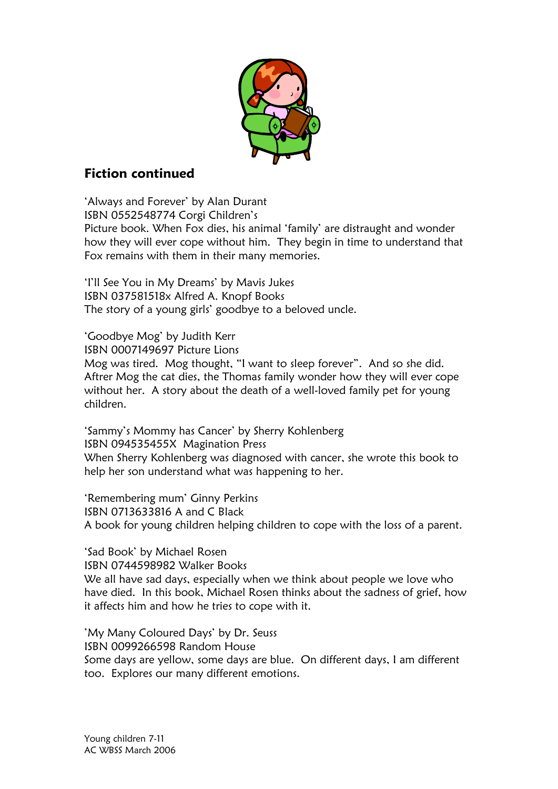

## Fiction continued

'Always and Forever' by Alan Durant ISBN 0552548774 Corgi Children's Picture book. When Fox dies, his animal 'family' are distraught and wonder how they will ever cope without him. They begin in time to understand that Fox remains with them in their many memories.

'I'll See You in My Dreams' by Mavis Jukes ISBN 037581518x Alfred A. Knopf Books The story of a young girls' goodbye to a beloved uncle.

'Goodbye Mog' by Judith Kerr ISBN 0007149697 Picture Lions Mog was tired. Mog thought, "I want to sleep forever". And so she did. Aftrer Mog the cat dies, the Thomas family wonder how they will ever cope without her. A story about the death of a well-loved family pet for young children.

'Sammy's Mommy has Cancer' by Sherry Kohlenberg ISBN 094535455X Magination Press When Sherry Kohlenberg was diagnosed with cancer, she wrote this book to help her son understand what was happening to her.

'Remembering mum' Ginny Perkins ISBN 0713633816 A and C Black A book for young children helping children to cope with the loss of a parent.

'Sad Book' by Michael Rosen ISBN 0744598982 Walker Books We all have sad days, especially when we think about people we love who have died. In this book, Michael Rosen thinks about the sadness of grief, how it affects him and how he tries to cope with it.

'My Many Coloured Days' by Dr. Seuss ISBN 0099266598 Random House Some days are yellow, some days are blue. On different days, I am different too. Explores our many different emotions.